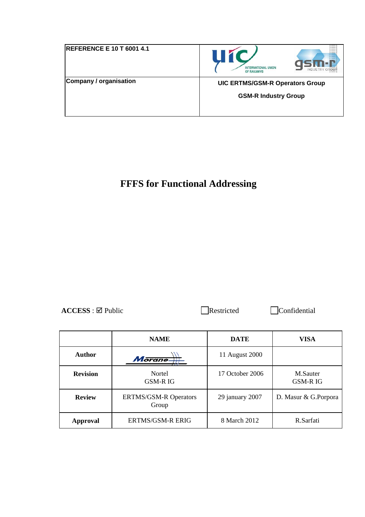| <b>REFERENCE E 10 T 6001 4.1</b> | Ш<br><b>INTERNATIONAL UNION</b><br><b>INDUSTRY</b><br>OF RAILWAYS |
|----------------------------------|-------------------------------------------------------------------|
| Company / organisation           | <b>UIC ERTMS/GSM-R Operators Group</b>                            |
|                                  | <b>GSM-R Industry Group</b>                                       |
|                                  |                                                                   |

# **FFFS for Functional Addressing**

ACCESS : ⊠ Public Restricted Confidential

|                 | <b>NAME</b>                           | <b>DATE</b>     | <b>VISA</b>                |
|-----------------|---------------------------------------|-----------------|----------------------------|
| <b>Author</b>   | Morane.                               | 11 August 2000  |                            |
| <b>Revision</b> | Nortel<br><b>GSM-RIG</b>              | 17 October 2006 | M.Sauter<br><b>GSM-RIG</b> |
| <b>Review</b>   | <b>ERTMS/GSM-R Operators</b><br>Group | 29 january 2007 | D. Masur & G.Porpora       |
| Approval        | <b>ERTMS/GSM-R ERIG</b>               | 8 March 2012    | R.Sarfati                  |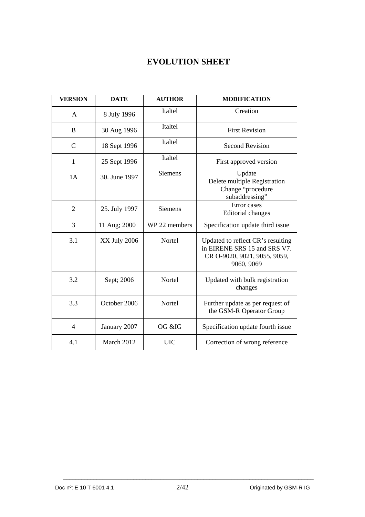# **EVOLUTION SHEET**

| <b>VERSION</b> | <b>DATE</b>   | <b>AUTHOR</b>  | <b>MODIFICATION</b>                                                                                             |
|----------------|---------------|----------------|-----------------------------------------------------------------------------------------------------------------|
| A              | 8 July 1996   | Italtel        | Creation                                                                                                        |
| B              | 30 Aug 1996   | Italtel        | <b>First Revision</b>                                                                                           |
| $\mathcal{C}$  | 18 Sept 1996  | Italtel        | <b>Second Revision</b>                                                                                          |
| 1              | 25 Sept 1996  | Italtel        | First approved version                                                                                          |
| 1A             | 30. June 1997 | <b>Siemens</b> | Update<br>Delete multiple Registration<br>Change "procedure<br>subaddressing"                                   |
| $\overline{2}$ | 25. July 1997 | <b>Siemens</b> | Error cases<br><b>Editorial</b> changes                                                                         |
| 3              | 11 Aug; 2000  | WP 22 members  | Specification update third issue                                                                                |
| 3.1            | XX July 2006  | Nortel         | Updated to reflect CR's resulting<br>in EIRENE SRS 15 and SRS V7.<br>CR O-9020, 9021, 9055, 9059,<br>9060, 9069 |
| 3.2            | Sept; 2006    | Nortel         | Updated with bulk registration<br>changes                                                                       |
| 3.3            | October 2006  | Nortel         | Further update as per request of<br>the GSM-R Operator Group                                                    |
| $\overline{4}$ | January 2007  | OG &IG         | Specification update fourth issue                                                                               |
| 4.1            | March 2012    | <b>UIC</b>     | Correction of wrong reference                                                                                   |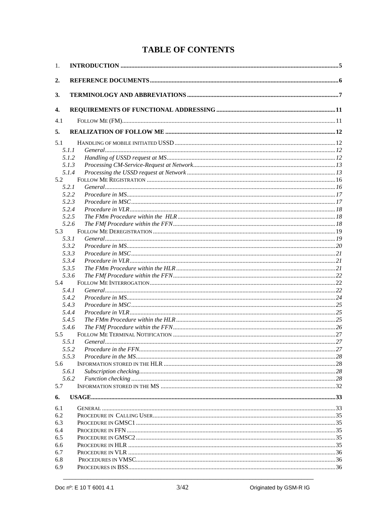# **TABLE OF CONTENTS**

| 1.  |                |  |
|-----|----------------|--|
| 2.  |                |  |
| 3.  |                |  |
| 4.  |                |  |
| 4.1 |                |  |
| 5.  |                |  |
| 5.1 |                |  |
|     | 5.1.1          |  |
|     | 5.1.2          |  |
|     | 5.1.3          |  |
|     | 5.1.4          |  |
| 5.2 |                |  |
|     | 5.2.1          |  |
|     | 5.2.2          |  |
|     | 5.2.3          |  |
|     | 5.2.4          |  |
|     | 5.2.5          |  |
|     | 5.2.6          |  |
| 5.3 |                |  |
|     | 5.3.1          |  |
|     | 5.3.2          |  |
|     | 5.3.3          |  |
|     | 5.3.4          |  |
|     | 5.3.5          |  |
|     | 5.3.6          |  |
| 5.4 |                |  |
|     | 5.4.1          |  |
|     | 5.4.2<br>5.4.3 |  |
|     | 5.4.4          |  |
|     | 5.4.5          |  |
|     | 5.4.6          |  |
| 5.5 |                |  |
|     | 5.5.1          |  |
|     | 5.5.2          |  |
|     | 5.5.3          |  |
| 5.6 |                |  |
|     | 5.6.1          |  |
|     | 5.6.2          |  |
| 5.7 |                |  |
| 6.  |                |  |
| 6.1 |                |  |
| 6.2 |                |  |
| 6.3 |                |  |
| 6.4 |                |  |
| 6.5 |                |  |
| 6.6 |                |  |
| 6.7 |                |  |
| 6.8 |                |  |
| 6.9 |                |  |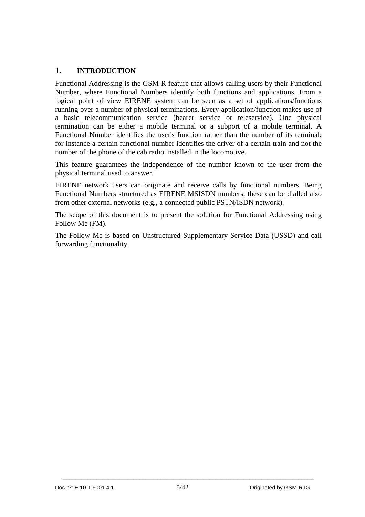## 1. **INTRODUCTION**

Functional Addressing is the GSM-R feature that allows calling users by their Functional Number, where Functional Numbers identify both functions and applications. From a logical point of view EIRENE system can be seen as a set of applications/functions running over a number of physical terminations. Every application/function makes use of a basic telecommunication service (bearer service or teleservice). One physical termination can be either a mobile terminal or a subport of a mobile terminal. A Functional Number identifies the user's function rather than the number of its terminal; for instance a certain functional number identifies the driver of a certain train and not the number of the phone of the cab radio installed in the locomotive.

This feature guarantees the independence of the number known to the user from the physical terminal used to answer.

EIRENE network users can originate and receive calls by functional numbers. Being Functional Numbers structured as EIRENE MSISDN numbers, these can be dialled also from other external networks (e.g., a connected public PSTN/ISDN network).

The scope of this document is to present the solution for Functional Addressing using Follow Me (FM).

The Follow Me is based on Unstructured Supplementary Service Data (USSD) and call forwarding functionality.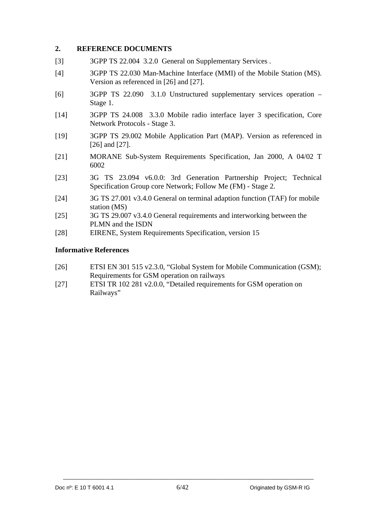## **2. REFERENCE DOCUMENTS**

- [3] 3GPP TS 22.004 3.2.0 General on Supplementary Services.
- [4] 3GPP TS 22.030 Man-Machine Interface (MMI) of the Mobile Station (MS). Version as referenced in [26] and [27].
- [6] 3GPP TS 22.090 3.1.0 Unstructured supplementary services operation Stage 1.
- [14] 3GPP TS 24.008 3.3.0 Mobile radio interface layer 3 specification, Core Network Protocols - Stage 3.
- [19] 3GPP TS 29.002 Mobile Application Part (MAP). Version as referenced in [26] and [27].
- [21] MORANE Sub-System Requirements Specification, Jan 2000, A 04/02 T 6002
- [23] 3G TS 23.094 v6.0.0: 3rd Generation Partnership Project; Technical Specification Group core Network; Follow Me (FM) - Stage 2.
- [24] 3G TS 27.001 v3.4.0 General on terminal adaption function (TAF) for mobile station (MS)
- [25] 3G TS 29.007 v3.4.0 General requirements and interworking between the PLMN and the ISDN
- [28] EIRENE, System Requirements Specification, version 15

## **Informative References**

- [26] ETSI EN 301 515 v2.3.0, "Global System for Mobile Communication (GSM); Requirements for GSM operation on railways
- [27] ETSI TR 102 281 v2.0.0, "Detailed requirements for GSM operation on Railways"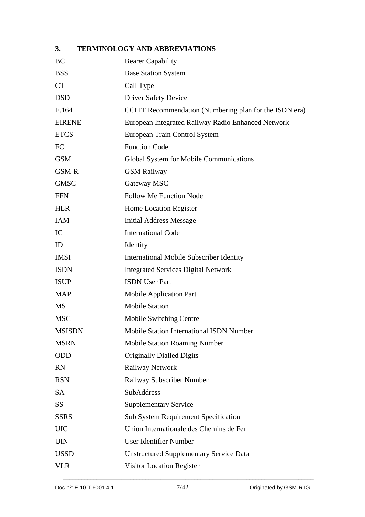# **3. TERMINOLOGY AND ABBREVIATIONS**

| BC            | <b>Bearer Capability</b>                               |
|---------------|--------------------------------------------------------|
| <b>BSS</b>    | <b>Base Station System</b>                             |
| <b>CT</b>     | Call Type                                              |
| <b>DSD</b>    | <b>Driver Safety Device</b>                            |
| E.164         | CCITT Recommendation (Numbering plan for the ISDN era) |
| <b>EIRENE</b> | European Integrated Railway Radio Enhanced Network     |
| <b>ETCS</b>   | European Train Control System                          |
| FC            | <b>Function Code</b>                                   |
| <b>GSM</b>    | Global System for Mobile Communications                |
| GSM-R         | <b>GSM Railway</b>                                     |
| <b>GMSC</b>   | Gateway MSC                                            |
| <b>FFN</b>    | <b>Follow Me Function Node</b>                         |
| <b>HLR</b>    | Home Location Register                                 |
| <b>IAM</b>    | <b>Initial Address Message</b>                         |
| IC            | <b>International Code</b>                              |
| ID            | Identity                                               |
| <b>IMSI</b>   | <b>International Mobile Subscriber Identity</b>        |
| <b>ISDN</b>   | <b>Integrated Services Digital Network</b>             |
| <b>ISUP</b>   | <b>ISDN</b> User Part                                  |
| <b>MAP</b>    | <b>Mobile Application Part</b>                         |
| <b>MS</b>     | <b>Mobile Station</b>                                  |
| <b>MSC</b>    | Mobile Switching Centre                                |
| <b>MSISDN</b> | <b>Mobile Station International ISDN Number</b>        |
| <b>MSRN</b>   | <b>Mobile Station Roaming Number</b>                   |
| ODD           | <b>Originally Dialled Digits</b>                       |
| <b>RN</b>     | Railway Network                                        |
| <b>RSN</b>    | Railway Subscriber Number                              |
| <b>SA</b>     | SubAddress                                             |
| <b>SS</b>     | <b>Supplementary Service</b>                           |
| <b>SSRS</b>   | Sub System Requirement Specification                   |
| <b>UIC</b>    | Union Internationale des Chemins de Fer                |
| <b>UIN</b>    | <b>User Identifier Number</b>                          |
| <b>USSD</b>   | <b>Unstructured Supplementary Service Data</b>         |
| <b>VLR</b>    | Visitor Location Register                              |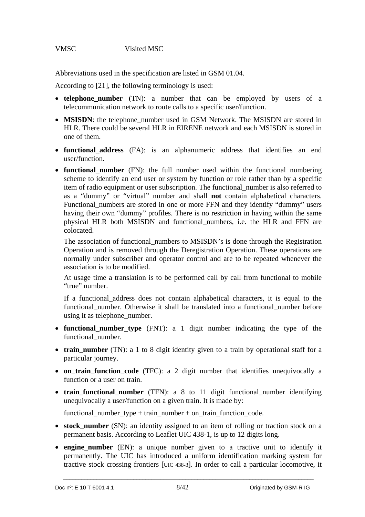## VMSC Visited MSC

Abbreviations used in the specification are listed in GSM 01.04.

According to [21], the following terminology is used:

- **telephone\_number** (TN): a number that can be employed by users of a telecommunication network to route calls to a specific user/function.
- MSISDN: the telephone number used in GSM Network. The MSISDN are stored in HLR. There could be several HLR in EIRENE network and each MSISDN is stored in one of them.
- **functional address** (FA): is an alphanumeric address that identifies an end user/function.
- **functional\_number** (FN): the full number used within the functional numbering scheme to identify an end user or system by function or role rather than by a specific item of radio equipment or user subscription. The functional\_number is also referred to as a "dummy" or "virtual" number and shall **not** contain alphabetical characters. Functional numbers are stored in one or more FFN and they identify "dummy" users having their own "dummy" profiles. There is no restriction in having within the same physical HLR both MSISDN and functional\_numbers, i.e. the HLR and FFN are colocated.

The association of functional numbers to MSISDN's is done through the Registration Operation and is removed through the Deregistration Operation. These operations are normally under subscriber and operator control and are to be repeated whenever the association is to be modified.

At usage time a translation is to be performed call by call from functional to mobile "true" number.

If a functional\_address does not contain alphabetical characters, it is equal to the functional\_number. Otherwise it shall be translated into a functional\_number before using it as telephone\_number.

- **functional\_number\_type** (FNT): a 1 digit number indicating the type of the functional\_number.
- **train\_number** (TN): a 1 to 8 digit identity given to a train by operational staff for a particular journey.
- **on\_train\_function\_code** (TFC): a 2 digit number that identifies unequivocally a function or a user on train.
- **train\_functional\_number** (TFN): a 8 to 11 digit functional\_number identifying unequivocally a user/function on a given train. It is made by:

functional number type + train number + on train function code.

- **stock\_number** (SN): an identity assigned to an item of rolling or traction stock on a permanent basis. According to Leaflet UIC 438-1, is up to 12 digits long.
- **engine number** (EN): a unique number given to a tractive unit to identify it permanently. The UIC has introduced a uniform identification marking system for tractive stock crossing frontiers [UIC 438-3]. In order to call a particular locomotive, it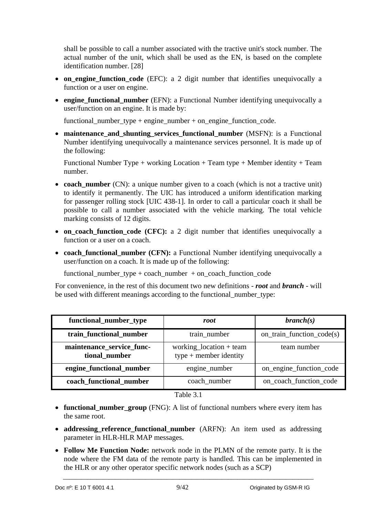shall be possible to call a number associated with the tractive unit's stock number. The actual number of the unit, which shall be used as the EN, is based on the complete identification number. [28]

- on engine\_function\_code (EFC): a 2 digit number that identifies unequivocally a function or a user on engine.
- **engine functional number** (EFN): a Functional Number identifying unequivocally a user/function on an engine. It is made by:

functional\_number\_type + engine\_number + on\_engine\_function\_code.

• maintenance and shunting services functional number (MSFN): is a Functional Number identifying unequivocally a maintenance services personnel. It is made up of the following:

Functional Number Type + working Location + Team type + Member identity + Team number.

- **coach\_number** (CN): a unique number given to a coach (which is not a tractive unit) to identify it permanently. The UIC has introduced a uniform identification marking for passenger rolling stock [UIC 438-1]. In order to call a particular coach it shall be possible to call a number associated with the vehicle marking. The total vehicle marking consists of 12 digits.
- **on\_coach\_function\_code (CFC):** a 2 digit number that identifies unequivocally a function or a user on a coach.
- **coach functional number (CFN):** a Functional Number identifying unequivocally a user/function on a coach. It is made up of the following:

functional\_number\_type + coach\_number + on\_coach\_function\_code

For convenience, in the rest of this document two new definitions - *root* and *branch* - will be used with different meanings according to the functional number type:

| functional_number_type                     | root                                                | branch(s)                 |
|--------------------------------------------|-----------------------------------------------------|---------------------------|
| train_functional_number                    | train_number                                        | on_train_function_code(s) |
| maintenance_service_func-<br>tional_number | working_location + team<br>$type + member$ identity | team number               |
| engine_functional_number                   | engine_number                                       | on_engine_function_code   |
| coach_functional_number                    | coach_number                                        | on_coach_function_code    |

Table 3.1

- **functional\_number\_group** (FNG): A list of functional numbers where every item has the same root.
- **addressing\_reference\_functional\_number** (ARFN): An item used as addressing parameter in HLR-HLR MAP messages.
- **Follow Me Function Node:** network node in the PLMN of the remote party. It is the node where the FM data of the remote party is handled. This can be implemented in the HLR or any other operator specific network nodes (such as a SCP)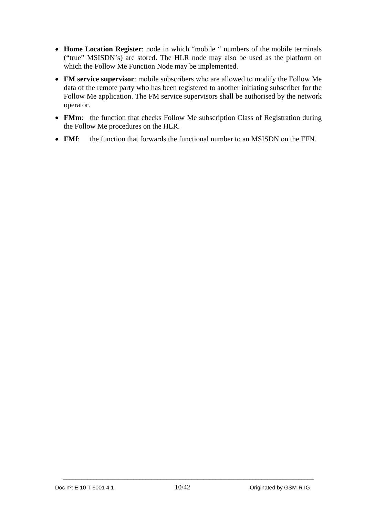- **Home Location Register**: node in which "mobile " numbers of the mobile terminals ("true" MSISDN's) are stored. The HLR node may also be used as the platform on which the Follow Me Function Node may be implemented.
- **FM service supervisor**: mobile subscribers who are allowed to modify the Follow Me data of the remote party who has been registered to another initiating subscriber for the Follow Me application. The FM service supervisors shall be authorised by the network operator.
- **FMm**: the function that checks Follow Me subscription Class of Registration during the Follow Me procedures on the HLR.
- **FMf**: the function that forwards the functional number to an MSISDN on the FFN.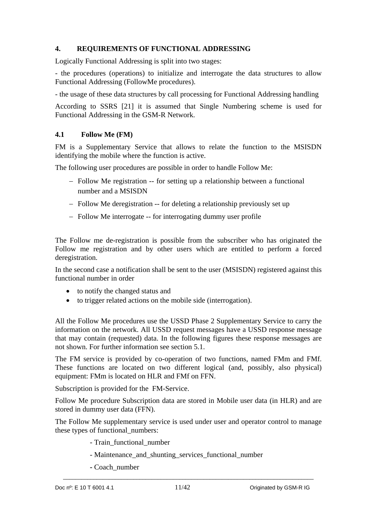## **4. REQUIREMENTS OF FUNCTIONAL ADDRESSING**

Logically Functional Addressing is split into two stages:

- the procedures (operations) to initialize and interrogate the data structures to allow Functional Addressing (FollowMe procedures).

- the usage of these data structures by call processing for Functional Addressing handling

According to SSRS [21] it is assumed that Single Numbering scheme is used for Functional Addressing in the GSM-R Network.

## **4.1 Follow Me (FM)**

FM is a Supplementary Service that allows to relate the function to the MSISDN identifying the mobile where the function is active.

The following user procedures are possible in order to handle Follow Me:

- Follow Me registration -- for setting up a relationship between a functional number and a MSISDN
- Follow Me deregistration -- for deleting a relationship previously set up
- Follow Me interrogate -- for interrogating dummy user profile

The Follow me de-registration is possible from the subscriber who has originated the Follow me registration and by other users which are entitled to perform a forced deregistration.

In the second case a notification shall be sent to the user (MSISDN) registered against this functional number in order

- to notify the changed status and
- to trigger related actions on the mobile side (interrogation).

All the Follow Me procedures use the USSD Phase 2 Supplementary Service to carry the information on the network. All USSD request messages have a USSD response message that may contain (requested) data. In the following figures these response messages are not shown. For further information see section 5.1.

The FM service is provided by co-operation of two functions, named FMm and FMf. These functions are located on two different logical (and, possibly, also physical) equipment: FMm is located on HLR and FMf on FFN.

Subscription is provided for the FM-Service.

Follow Me procedure Subscription data are stored in Mobile user data (in HLR) and are stored in dummy user data (FFN).

The Follow Me supplementary service is used under user and operator control to manage these types of functional\_numbers:

- Train\_functional\_number
- Maintenance and shunting services functional number
- Coach\_number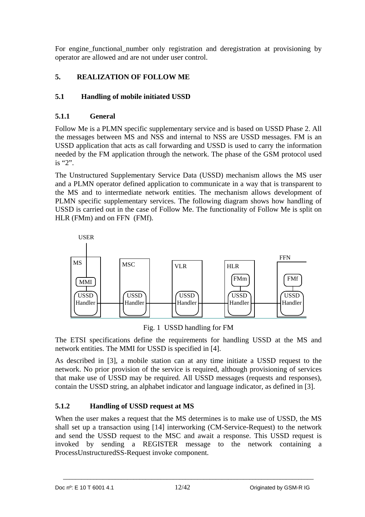For engine\_functional\_number only registration and deregistration at provisioning by operator are allowed and are not under user control.

# **5. REALIZATION OF FOLLOW ME**

## **5.1 Handling of mobile initiated USSD**

## **5.1.1 General**

Follow Me is a PLMN specific supplementary service and is based on USSD Phase 2. All the messages between MS and NSS and internal to NSS are USSD messages. FM is an USSD application that acts as call forwarding and USSD is used to carry the information needed by the FM application through the network. The phase of the GSM protocol used is "2".

The Unstructured Supplementary Service Data (USSD) mechanism allows the MS user and a PLMN operator defined application to communicate in a way that is transparent to the MS and to intermediate network entities. The mechanism allows development of PLMN specific supplementary services. The following diagram shows how handling of USSD is carried out in the case of Follow Me. The functionality of Follow Me is split on HLR (FMm) and on FFN (FMf).



Fig. 1 USSD handling for FM

The ETSI specifications define the requirements for handling USSD at the MS and network entities. The MMI for USSD is specified in [4].

As described in [3], a mobile station can at any time initiate a USSD request to the network. No prior provision of the service is required, although provisioning of services that make use of USSD may be required. All USSD messages (requests and responses), contain the USSD string, an alphabet indicator and language indicator, as defined in [3].

## **5.1.2 Handling of USSD request at MS**

When the user makes a request that the MS determines is to make use of USSD, the MS shall set up a transaction using [14] interworking (CM-Service-Request) to the network and send the USSD request to the MSC and await a response. This USSD request is invoked by sending a REGISTER message to the network containing a ProcessUnstructuredSS-Request invoke component.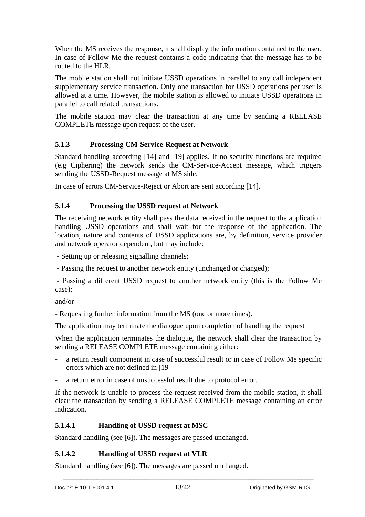When the MS receives the response, it shall display the information contained to the user. In case of Follow Me the request contains a code indicating that the message has to be routed to the HLR.

The mobile station shall not initiate USSD operations in parallel to any call independent supplementary service transaction. Only one transaction for USSD operations per user is allowed at a time. However, the mobile station is allowed to initiate USSD operations in parallel to call related transactions.

The mobile station may clear the transaction at any time by sending a RELEASE COMPLETE message upon request of the user.

## **5.1.3 Processing CM-Service-Request at Network**

Standard handling according [14] and [19] applies. If no security functions are required (e.g Ciphering) the network sends the CM-Service-Accept message, which triggers sending the USSD-Request message at MS side.

In case of errors CM-Service-Reject or Abort are sent according [14].

## **5.1.4 Processing the USSD request at Network**

The receiving network entity shall pass the data received in the request to the application handling USSD operations and shall wait for the response of the application. The location, nature and contents of USSD applications are, by definition, service provider and network operator dependent, but may include:

- Setting up or releasing signalling channels;

- Passing the request to another network entity (unchanged or changed);

 - Passing a different USSD request to another network entity (this is the Follow Me case);

and/or

- Requesting further information from the MS (one or more times).

The application may terminate the dialogue upon completion of handling the request

When the application terminates the dialogue, the network shall clear the transaction by sending a RELEASE COMPLETE message containing either:

- a return result component in case of successful result or in case of Follow Me specific errors which are not defined in [19]
- a return error in case of unsuccessful result due to protocol error.

If the network is unable to process the request received from the mobile station, it shall clear the transaction by sending a RELEASE COMPLETE message containing an error indication.

## **5.1.4.1 Handling of USSD request at MSC**

Standard handling (see [6]). The messages are passed unchanged.

## **5.1.4.2 Handling of USSD request at VLR**

Standard handling (see [6]). The messages are passed unchanged.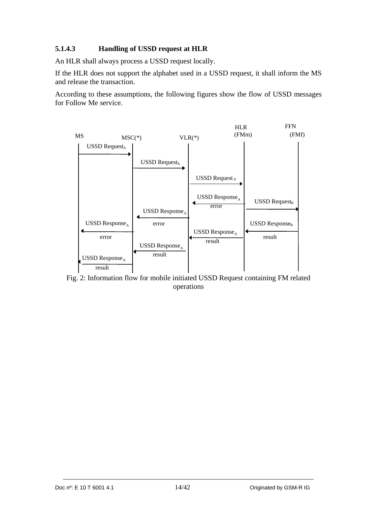## **5.1.4.3 Handling of USSD request at HLR**

An HLR shall always process a USSD request locally.

If the HLR does not support the alphabet used in a USSD request, it shall inform the MS and release the transaction.

According to these assumptions, the following figures show the flow of USSD messages for Follow Me service.



Fig. 2: Information flow for mobile initiated USSD Request containing FM related operations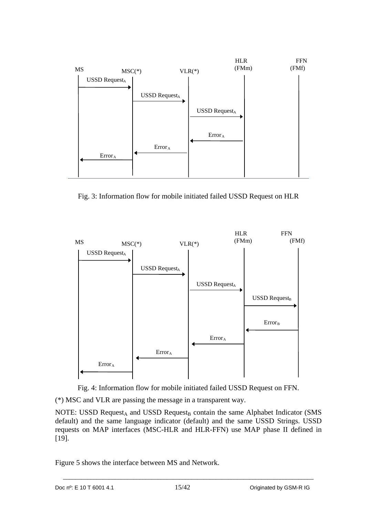

Fig. 3: Information flow for mobile initiated failed USSD Request on HLR



Fig. 4: Information flow for mobile initiated failed USSD Request on FFN.

(\*) MSC and VLR are passing the message in a transparent way.

NOTE: USSD Request<sub>A</sub> and USSD Request<sub>B</sub> contain the same Alphabet Indicator (SMS default) and the same language indicator (default) and the same USSD Strings. USSD requests on MAP interfaces (MSC-HLR and HLR-FFN) use MAP phase II defined in [19].

Figure 5 shows the interface between MS and Network.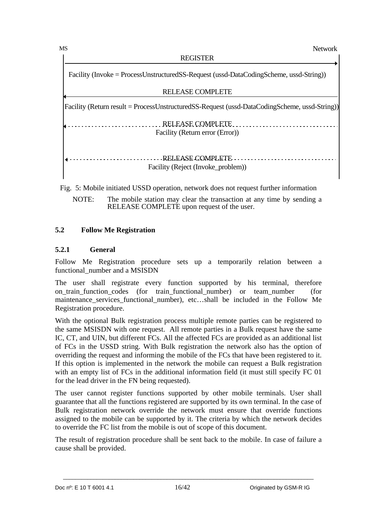**Network** 

REGISTER

Facility (Invoke = ProcessUnstructuredSS-Request (ussd-DataCodingScheme, ussd-String))

| <b>RELEASE COMPLETE</b>                                                                        |
|------------------------------------------------------------------------------------------------|
| [Facility (Return result = ProcessUnstructuredSS-Request (ussd-DataCodingScheme, ussd-String)] |
| RELEASE COMPLETE<br>Facility (Return error (Error))                                            |
| RELEASE COMPLETE<br>Facility (Reject (Invoke_problem))                                         |

Fig. 5: Mobile initiated USSD operation, network does not request further information

NOTE: The mobile station may clear the transaction at any time by sending a RELEASE COMPLETE upon request of the user.

## **5.2 Follow Me Registration**

## **5.2.1 General**

Follow Me Registration procedure sets up a temporarily relation between a functional\_number and a MSISDN

The user shall registrate every function supported by his terminal, therefore on\_train\_function\_codes (for train\_functional\_number) or team\_number (for maintenance services functional number), etc...shall be included in the Follow Me Registration procedure.

With the optional Bulk registration process multiple remote parties can be registered to the same MSISDN with one request. All remote parties in a Bulk request have the same IC, CT, and UIN, but different FCs. All the affected FCs are provided as an additional list of FCs in the USSD string. With Bulk registration the network also has the option of overriding the request and informing the mobile of the FCs that have been registered to it. If this option is implemented in the network the mobile can request a Bulk registration with an empty list of FCs in the additional information field (it must still specify FC 01) for the lead driver in the FN being requested).

The user cannot register functions supported by other mobile terminals. User shall guarantee that all the functions registered are supported by its own terminal. In the case of Bulk registration network override the network must ensure that override functions assigned to the mobile can be supported by it. The criteria by which the network decides to override the FC list from the mobile is out of scope of this document.

The result of registration procedure shall be sent back to the mobile. In case of failure a cause shall be provided.

MS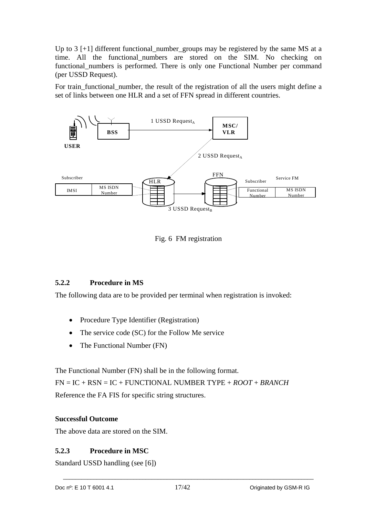Up to 3 [+1] different functional\_number\_groups may be registered by the same MS at a time. All the functional\_numbers are stored on the SIM. No checking on functional numbers is performed. There is only one Functional Number per command (per USSD Request).

For train\_functional\_number, the result of the registration of all the users might define a set of links between one HLR and a set of FFN spread in different countries.





## **5.2.2 Procedure in MS**

The following data are to be provided per terminal when registration is invoked:

- Procedure Type Identifier (Registration)
- The service code (SC) for the Follow Me service
- The Functional Number (FN)

The Functional Number (FN) shall be in the following format. FN = IC + RSN = IC + FUNCTIONAL NUMBER TYPE + *ROOT* + *BRANCH*  Reference the FA FIS for specific string structures.

## **Successful Outcome**

The above data are stored on the SIM.

## **5.2.3 Procedure in MSC**

Standard USSD handling (see [6])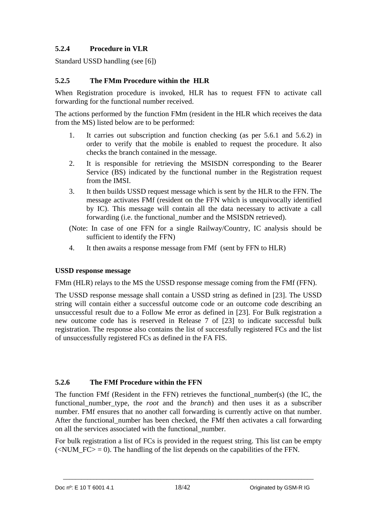## **5.2.4 Procedure in VLR**

Standard USSD handling (see [6])

## **5.2.5 The FMm Procedure within the HLR**

When Registration procedure is invoked, HLR has to request FFN to activate call forwarding for the functional number received.

The actions performed by the function FMm (resident in the HLR which receives the data from the MS) listed below are to be performed:

- 1. It carries out subscription and function checking (as per 5.6.1 and 5.6.2) in order to verify that the mobile is enabled to request the procedure. It also checks the branch contained in the message.
- 2. It is responsible for retrieving the MSISDN corresponding to the Bearer Service (BS) indicated by the functional number in the Registration request from the IMSI.
- 3. It then builds USSD request message which is sent by the HLR to the FFN. The message activates FMf (resident on the FFN which is unequivocally identified by IC). This message will contain all the data necessary to activate a call forwarding (i.e. the functional number and the MSISDN retrieved).
- (Note: In case of one FFN for a single Railway/Country, IC analysis should be sufficient to identify the FFN)
- 4. It then awaits a response message from FMf (sent by FFN to HLR)

## **USSD response message**

FMm (HLR) relays to the MS the USSD response message coming from the FMf (FFN).

The USSD response message shall contain a USSD string as defined in [23]. The USSD string will contain either a successful outcome code or an outcome code describing an unsuccessful result due to a Follow Me error as defined in [23]. For Bulk registration a new outcome code has is reserved in Release 7 of [23] to indicate successful bulk registration. The response also contains the list of successfully registered FCs and the list of unsuccessfully registered FCs as defined in the FA FIS.

## **5.2.6 The FMf Procedure within the FFN**

The function FMf (Resident in the FFN) retrieves the functional\_number(s) (the IC, the functional\_number\_type, the *root* and the *branch*) and then uses it as a subscriber number. FMf ensures that no another call forwarding is currently active on that number. After the functional number has been checked, the FMf then activates a call forwarding on all the services associated with the functional\_number.

For bulk registration a list of FCs is provided in the request string. This list can be empty ( $\leq$ NUM FC $>$  = 0). The handling of the list depends on the capabilities of the FFN.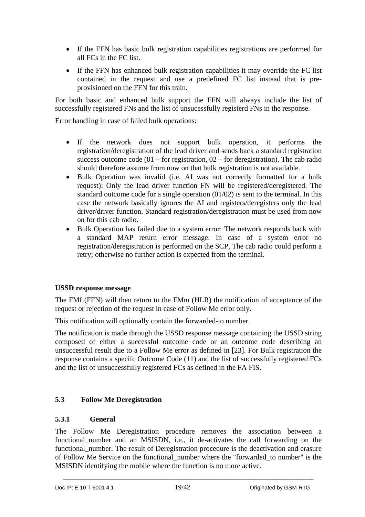- If the FFN has basic bulk registration capabilities registrations are performed for all FCs in the FC list.
- If the FFN has enhanced bulk registration capabilities it may override the FC list contained in the request and use a predefined FC list instead that is preprovisioned on the FFN for this train.

For both basic and enhanced bulk support the FFN will always include the list of successfully registered FNs and the list of unsucessfully registerd FNs in the response.

Error handling in case of failed bulk operations:

- If the network does not support bulk operation, it performs the registration/deregistration of the lead driver and sends back a standard registration success outcome code  $(01 - for registration, 02 - for degradation)$ . The cab radio should therefore assume from now on that bulk registration is not available.
- Bulk Operation was invalid (i.e. AI was not correctly formatted for a bulk request): Only the lead driver function FN will be registered/deregistered. The standard outcome code for a single operation (01/02) is sent to the terminal. In this case the network basically ignores the AI and registers/deregisters only the lead driver/driver function. Standard registration/deregistration must be used from now on for this cab radio.
- Bulk Operation has failed due to a system error: The network responds back with a standard MAP return error message. In case of a system error no registration/deregistration is performed on the SCP, The cab radio could perform a retry; otherwise no further action is expected from the terminal.

## **USSD response message**

The FMf (FFN) will then return to the FMm (HLR) the notification of acceptance of the request or rejection of the request in case of Follow Me error only.

This notification will optionally contain the forwarded-to number.

The notification is made through the USSD response message containing the USSD string composed of either a successful outcome code or an outcome code describing an unsuccessful result due to a Follow Me error as defined in [23]. For Bulk registration the response contains a specifc Outcome Code (11) and the list of successfully registered FCs and the list of unsuccessfully registered FCs as defined in the FA FIS.

## **5.3 Follow Me Deregistration**

## **5.3.1 General**

The Follow Me Deregistration procedure removes the association between a functional number and an MSISDN, i.e., it de-activates the call forwarding on the functional\_number. The result of Deregistration procedure is the deactivation and erasure of Follow Me Service on the functional\_number where the "forwarded\_to number" is the MSISDN identifying the mobile where the function is no more active.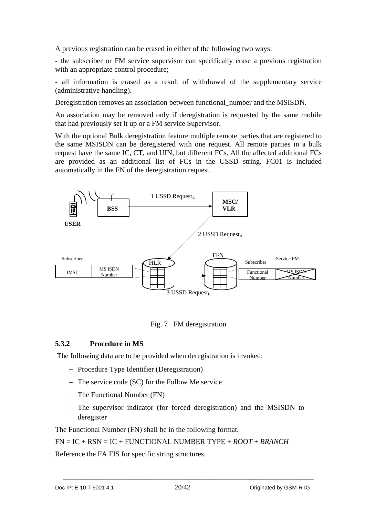A previous registration can be erased in either of the following two ways:

- the subscriber or FM service supervisor can specifically erase a previous registration with an appropriate control procedure;

- all information is erased as a result of withdrawal of the supplementary service (administrative handling).

Deregistration removes an association between functional number and the MSISDN.

An association may be removed only if deregistration is requested by the same mobile that had previously set it up or a FM service Supervisor.

With the optional Bulk deregistration feature multiple remote parties that are registered to the same MSISDN can be deregistered with one request. All remote parties in a bulk request have the same IC, CT, and UIN, but different FCs. All the affected additional FCs are provided as an additional list of FCs in the USSD string. FC01 is included automatically in the FN of the deregistration request.





#### **5.3.2 Procedure in MS**

The following data are to be provided when deregistration is invoked:

- Procedure Type Identifier (Deregistration)
- $-$  The service code (SC) for the Follow Me service
- The Functional Number (FN)
- The supervisor indicator (for forced deregistration) and the MSISDN to deregister

The Functional Number (FN) shall be in the following format.

FN = IC + RSN = IC + FUNCTIONAL NUMBER TYPE + *ROOT* + *BRANCH* 

Reference the FA FIS for specific string structures.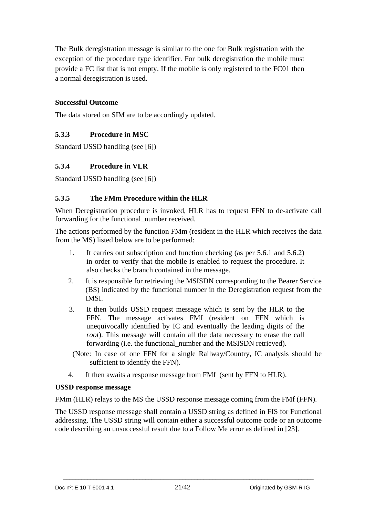The Bulk deregistration message is similar to the one for Bulk registration with the exception of the procedure type identifier. For bulk deregistration the mobile must provide a FC list that is not empty. If the mobile is only registered to the FC01 then a normal deregistration is used.

## **Successful Outcome**

The data stored on SIM are to be accordingly updated.

## **5.3.3 Procedure in MSC**

Standard USSD handling (see [6])

#### **5.3.4 Procedure in VLR**

Standard USSD handling (see [6])

#### **5.3.5 The FMm Procedure within the HLR**

When Deregistration procedure is invoked, HLR has to request FFN to de-activate call forwarding for the functional\_number received.

The actions performed by the function FMm (resident in the HLR which receives the data from the MS) listed below are to be performed:

- 1. It carries out subscription and function checking (as per 5.6.1 and 5.6.2) in order to verify that the mobile is enabled to request the procedure. It also checks the branch contained in the message.
- 2. It is responsible for retrieving the MSISDN corresponding to the Bearer Service (BS) indicated by the functional number in the Deregistration request from the IMSI.
- 3. It then builds USSD request message which is sent by the HLR to the FFN. The message activates FMf (resident on FFN which is unequivocally identified by IC and eventually the leading digits of the *root*). This message will contain all the data necessary to erase the call forwarding (i.e. the functional number and the MSISDN retrieved).
- (Note*:* In case of one FFN for a single Railway/Country, IC analysis should be sufficient to identify the FFN).
- 4. It then awaits a response message from FMf (sent by FFN to HLR).

#### **USSD response message**

FMm (HLR) relays to the MS the USSD response message coming from the FMf (FFN).

The USSD response message shall contain a USSD string as defined in FIS for Functional addressing. The USSD string will contain either a successful outcome code or an outcome code describing an unsuccessful result due to a Follow Me error as defined in [23].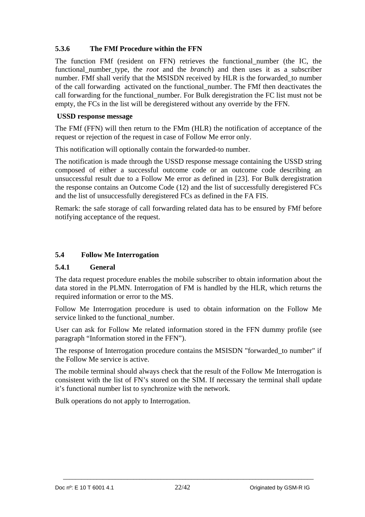## **5.3.6 The FMf Procedure within the FFN**

The function FMf (resident on FFN) retrieves the functional\_number (the IC, the functional\_number\_type, the *root* and the *branch*) and then uses it as a subscriber number. FMf shall verify that the MSISDN received by HLR is the forwarded to number of the call forwarding activated on the functional\_number. The FMf then deactivates the call forwarding for the functional number. For Bulk deregistration the FC list must not be empty, the FCs in the list will be deregistered without any override by the FFN.

#### **USSD response message**

The FMf (FFN) will then return to the FMm (HLR) the notification of acceptance of the request or rejection of the request in case of Follow Me error only.

This notification will optionally contain the forwarded-to number.

The notification is made through the USSD response message containing the USSD string composed of either a successful outcome code or an outcome code describing an unsuccessful result due to a Follow Me error as defined in [23]. For Bulk deregistration the response contains an Outcome Code (12) and the list of successfully deregistered FCs and the list of unsuccessfully deregistered FCs as defined in the FA FIS.

Remark: the safe storage of call forwarding related data has to be ensured by FMf before notifying acceptance of the request.

## **5.4 Follow Me Interrogation**

## **5.4.1 General**

The data request procedure enables the mobile subscriber to obtain information about the data stored in the PLMN. Interrogation of FM is handled by the HLR, which returns the required information or error to the MS.

Follow Me Interrogation procedure is used to obtain information on the Follow Me service linked to the functional number.

User can ask for Follow Me related information stored in the FFN dummy profile (see paragraph "Information stored in the FFN").

The response of Interrogation procedure contains the MSISDN "forwarded\_to number" if the Follow Me service is active.

The mobile terminal should always check that the result of the Follow Me Interrogation is consistent with the list of FN's stored on the SIM. If necessary the terminal shall update it's functional number list to synchronize with the network.

Bulk operations do not apply to Interrogation.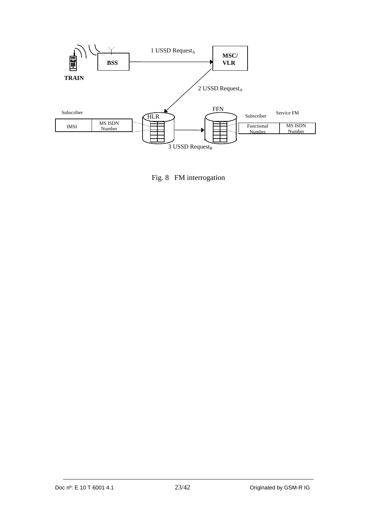

Fig. 8 FM interrogation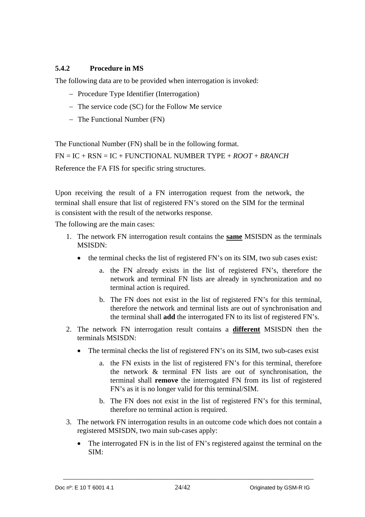## **5.4.2 Procedure in MS**

The following data are to be provided when interrogation is invoked:

- Procedure Type Identifier (Interrogation)
- $-$  The service code (SC) for the Follow Me service
- The Functional Number (FN)

The Functional Number (FN) shall be in the following format.

FN = IC + RSN = IC + FUNCTIONAL NUMBER TYPE + *ROOT* + *BRANCH*  Reference the FA FIS for specific string structures.

Upon receiving the result of a FN interrogation request from the network, the terminal shall ensure that list of registered FN's stored on the SIM for the terminal is consistent with the result of the networks response.

The following are the main cases:

- 1. The network FN interrogation result contains the **same** MSISDN as the terminals MSISDN:
	- the terminal checks the list of registered FN's on its SIM, two sub cases exist:
		- a. the FN already exists in the list of registered FN's, therefore the network and terminal FN lists are already in synchronization and no terminal action is required.
		- b. The FN does not exist in the list of registered FN's for this terminal, therefore the network and terminal lists are out of synchronisation and the terminal shall **add** the interrogated FN to its list of registered FN's.
- 2. The network FN interrogation result contains a **different** MSISDN then the terminals MSISDN:
	- The terminal checks the list of registered FN's on its SIM, two sub-cases exist
		- a. the FN exists in the list of registered FN's for this terminal, therefore the network & terminal FN lists are out of synchronisation, the terminal shall **remove** the interrogated FN from its list of registered FN's as it is no longer valid for this terminal/SIM.
		- b. The FN does not exist in the list of registered FN's for this terminal, therefore no terminal action is required.
- 3. The network FN interrogation results in an outcome code which does not contain a registered MSISDN, two main sub-cases apply:
	- The interrogated FN is in the list of FN's registered against the terminal on the SIM: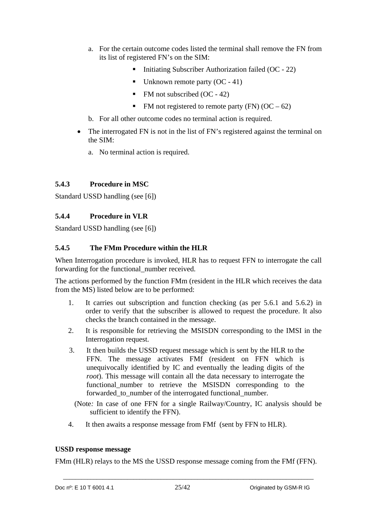- a. For the certain outcome codes listed the terminal shall remove the FN from its list of registered FN's on the SIM:
	- Initiating Subscriber Authorization failed  $(OC 22)$
	- Unknown remote party  $(OC 41)$
	- FM not subscribed (OC 42)
	- FM not registered to remote party (FN)  $(OC 62)$
- b. For all other outcome codes no terminal action is required.
- The interrogated FN is not in the list of FN's registered against the terminal on the SIM:
	- a. No terminal action is required.

## **5.4.3 Procedure in MSC**

Standard USSD handling (see [6])

## **5.4.4 Procedure in VLR**

Standard USSD handling (see [6])

## **5.4.5 The FMm Procedure within the HLR**

When Interrogation procedure is invoked, HLR has to request FFN to interrogate the call forwarding for the functional\_number received.

The actions performed by the function FMm (resident in the HLR which receives the data from the MS) listed below are to be performed:

- 1. It carries out subscription and function checking (as per 5.6.1 and 5.6.2) in order to verify that the subscriber is allowed to request the procedure. It also checks the branch contained in the message.
- 2. It is responsible for retrieving the MSISDN corresponding to the IMSI in the Interrogation request.
- 3. It then builds the USSD request message which is sent by the HLR to the FFN. The message activates FMf (resident on FFN which is unequivocally identified by IC and eventually the leading digits of the *root*). This message will contain all the data necessary to interrogate the functional number to retrieve the MSISDN corresponding to the forwarded to number of the interrogated functional number.

 (Note*:* In case of one FFN for a single Railway/Country, IC analysis should be sufficient to identify the FFN).

4. It then awaits a response message from FMf (sent by FFN to HLR).

#### **USSD response message**

FMm (HLR) relays to the MS the USSD response message coming from the FMf (FFN).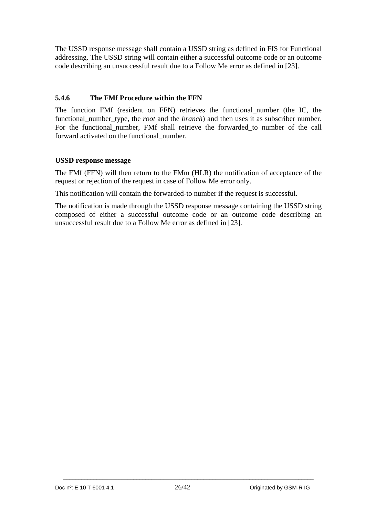The USSD response message shall contain a USSD string as defined in FIS for Functional addressing. The USSD string will contain either a successful outcome code or an outcome code describing an unsuccessful result due to a Follow Me error as defined in [23].

## **5.4.6 The FMf Procedure within the FFN**

The function FMf (resident on FFN) retrieves the functional\_number (the IC, the functional number type, the *root* and the *branch*) and then uses it as subscriber number. For the functional number, FMf shall retrieve the forwarded to number of the call forward activated on the functional\_number.

#### **USSD response message**

The FMf (FFN) will then return to the FMm (HLR) the notification of acceptance of the request or rejection of the request in case of Follow Me error only.

This notification will contain the forwarded-to number if the request is successful.

The notification is made through the USSD response message containing the USSD string composed of either a successful outcome code or an outcome code describing an unsuccessful result due to a Follow Me error as defined in [23].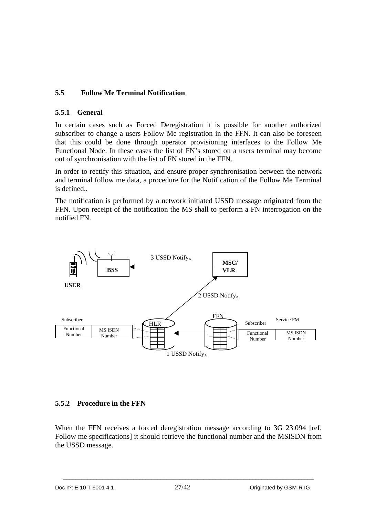## **5.5 Follow Me Terminal Notification**

## **5.5.1 General**

In certain cases such as Forced Deregistration it is possible for another authorized subscriber to change a users Follow Me registration in the FFN. It can also be foreseen that this could be done through operator provisioning interfaces to the Follow Me Functional Node. In these cases the list of FN's stored on a users terminal may become out of synchronisation with the list of FN stored in the FFN.

In order to rectify this situation, and ensure proper synchronisation between the network and terminal follow me data, a procedure for the Notification of the Follow Me Terminal is defined..

The notification is performed by a network initiated USSD message originated from the FFN. Upon receipt of the notification the MS shall to perform a FN interrogation on the notified FN.



## **5.5.2 Procedure in the FFN**

When the FFN receives a forced deregistration message according to 3G 23.094 [ref. Follow me specifications] it should retrieve the functional number and the MSISDN from the USSD message.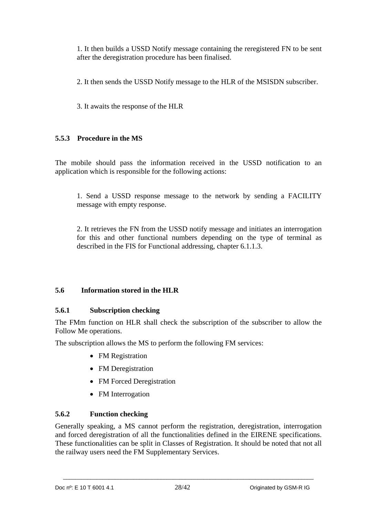1. It then builds a USSD Notify message containing the reregistered FN to be sent after the deregistration procedure has been finalised.

2. It then sends the USSD Notify message to the HLR of the MSISDN subscriber.

3. It awaits the response of the HLR

## **5.5.3 Procedure in the MS**

The mobile should pass the information received in the USSD notification to an application which is responsible for the following actions:

1. Send a USSD response message to the network by sending a FACILITY message with empty response.

2. It retrieves the FN from the USSD notify message and initiates an interrogation for this and other functional numbers depending on the type of terminal as described in the FIS for Functional addressing, chapter 6.1.1.3.

## **5.6 Information stored in the HLR**

## **5.6.1 Subscription checking**

The FMm function on HLR shall check the subscription of the subscriber to allow the Follow Me operations.

The subscription allows the MS to perform the following FM services:

- FM Registration
- FM Deregistration
- FM Forced Deregistration
- FM Interrogation

## **5.6.2 Function checking**

Generally speaking, a MS cannot perform the registration, deregistration, interrogation and forced deregistration of all the functionalities defined in the EIRENE specifications. These functionalities can be split in Classes of Registration. It should be noted that not all the railway users need the FM Supplementary Services.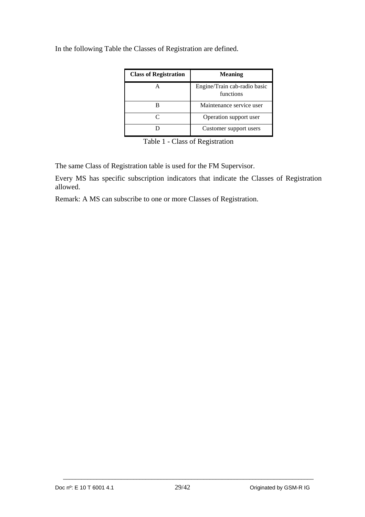| <b>Class of Registration</b> | <b>Meaning</b>                            |
|------------------------------|-------------------------------------------|
|                              | Engine/Train cab-radio basic<br>functions |
|                              | Maintenance service user                  |
|                              | Operation support user                    |
|                              | Customer support users                    |

In the following Table the Classes of Registration are defined.

Table 1 - Class of Registration

The same Class of Registration table is used for the FM Supervisor.

Every MS has specific subscription indicators that indicate the Classes of Registration allowed.

Remark: A MS can subscribe to one or more Classes of Registration.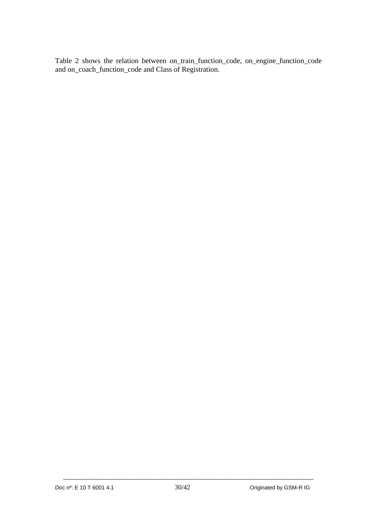Table 2 shows the relation between on\_train\_function\_code, on\_engine\_function\_code and on\_coach\_function\_code and Class of Registration.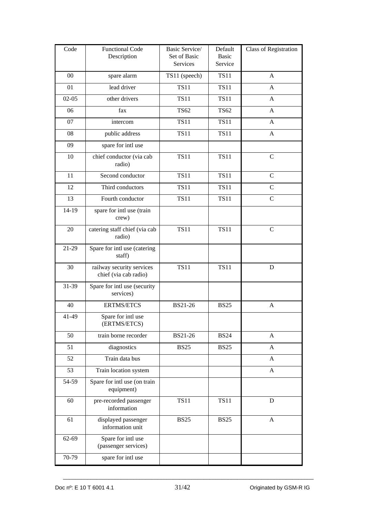| Code    | <b>Functional Code</b><br>Description              | Basic Service/<br>Set of Basic<br>Services | Default<br>Basic<br>Service | <b>Class of Registration</b> |
|---------|----------------------------------------------------|--------------------------------------------|-----------------------------|------------------------------|
| 00      | spare alarm                                        | TS11 (speech)                              | <b>TS11</b>                 | A                            |
| 01      | lead driver                                        | <b>TS11</b>                                | <b>TS11</b>                 | A                            |
| $02-05$ | other drivers                                      | <b>TS11</b>                                | <b>TS11</b>                 | A                            |
| 06      | fax                                                | <b>TS62</b>                                | <b>TS62</b>                 | A                            |
| 07      | intercom                                           | <b>TS11</b>                                | <b>TS11</b>                 | A                            |
| 08      | public address                                     | <b>TS11</b>                                | <b>TS11</b>                 | A                            |
| 09      | spare for intl use                                 |                                            |                             |                              |
| 10      | chief conductor (via cab<br>radio)                 | <b>TS11</b>                                | <b>TS11</b>                 | $\mathcal{C}$                |
| 11      | Second conductor                                   | <b>TS11</b>                                | <b>TS11</b>                 | $\mathbf C$                  |
| 12      | Third conductors                                   | <b>TS11</b>                                | <b>TS11</b>                 | $\mathsf{C}$                 |
| 13      | Fourth conductor                                   | <b>TS11</b>                                | <b>TS11</b>                 | $\mathsf{C}$                 |
| 14-19   | spare for intl use (train<br>crew)                 |                                            |                             |                              |
| 20      | catering staff chief (via cab<br>radio)            | <b>TS11</b>                                | <b>TS11</b>                 | $\overline{C}$               |
| 21-29   | Spare for intl use (catering<br>staff)             |                                            |                             |                              |
| 30      | railway security services<br>chief (via cab radio) | <b>TS11</b>                                | <b>TS11</b>                 | D                            |
| 31-39   | Spare for intl use (security<br>services)          |                                            |                             |                              |
| 40      | <b>ERTMS/ETCS</b>                                  | BS21-26                                    | <b>BS25</b>                 | A                            |
| 41-49   | Spare for intl use<br>(ERTMS/ETCS)                 |                                            |                             |                              |
| 50      | train borne recorder                               | BS21-26                                    | <b>BS24</b>                 | A                            |
| 51      | diagnostics                                        | <b>BS25</b>                                | <b>BS25</b>                 | A                            |
| 52      | Train data bus                                     |                                            |                             | A                            |
| 53      | Train location system                              |                                            |                             | $\mathbf{A}$                 |
| 54-59   | Spare for intl use (on train<br>equipment)         |                                            |                             |                              |
| 60      | pre-recorded passenger<br>information              | <b>TS11</b>                                | <b>TS11</b>                 | D                            |
| 61      | displayed passenger<br>information unit            | <b>BS25</b>                                | <b>BS25</b>                 | A                            |
| 62-69   | Spare for intl use<br>(passenger services)         |                                            |                             |                              |
| 70-79   | spare for intl use                                 |                                            |                             |                              |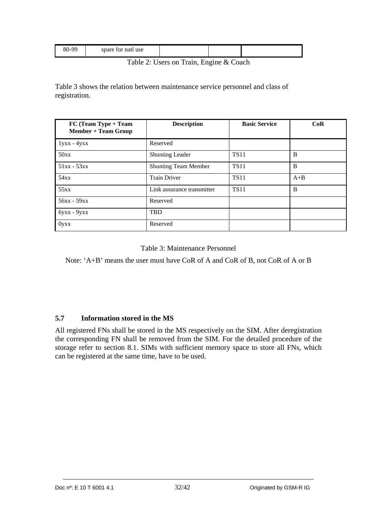|  | 80-99<br>spare for nati use |  |  |  |
|--|-----------------------------|--|--|--|
|--|-----------------------------|--|--|--|

Table 2: Users on Train, Engine & Coach

Table 3 shows the relation between maintenance service personnel and class of registration.

| FC (Team Type + Team<br><b>Member + Team Group</b> | <b>Description</b>          | <b>Basic Service</b> | CoR   |
|----------------------------------------------------|-----------------------------|----------------------|-------|
| $1yxx - 4yxx$                                      | Reserved                    |                      |       |
| 50xx                                               | <b>Shunting Leader</b>      | <b>TS11</b>          | B     |
| $51xx - 53xx$                                      | <b>Shunting Team Member</b> | <b>TS11</b>          | B     |
| 54xx                                               | <b>Train Driver</b>         | <b>TS11</b>          | $A+B$ |
| 55xx                                               | Link assurance transmitter  | <b>TS11</b>          | B     |
| 56xx - 59xx                                        | Reserved                    |                      |       |
| $6yxx - 9yxx$                                      | <b>TBD</b>                  |                      |       |
| $0$ yxx                                            | Reserved                    |                      |       |

Table 3: Maintenance Personnel

Note: 'A+B' means the user must have CoR of A and CoR of B, not CoR of A or B

## **5.7 Information stored in the MS**

All registered FNs shall be stored in the MS respectively on the SIM. After deregistration the corresponding FN shall be removed from the SIM. For the detailed procedure of the storage refer to section 8.1. SIMs with sufficient memory space to store all FNs, which can be registered at the same time, have to be used.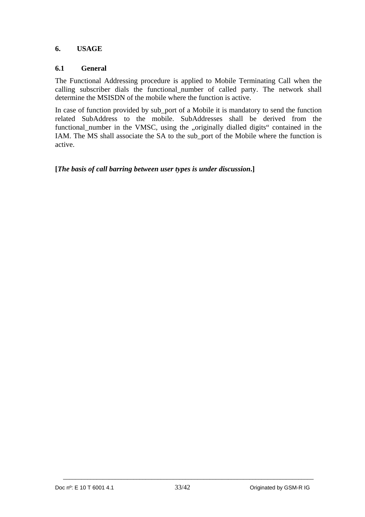## **6. USAGE**

#### **6.1 General**

The Functional Addressing procedure is applied to Mobile Terminating Call when the calling subscriber dials the functional\_number of called party. The network shall determine the MSISDN of the mobile where the function is active.

In case of function provided by sub\_port of a Mobile it is mandatory to send the function related SubAddress to the mobile. SubAddresses shall be derived from the functional\_number in the VMSC, using the "originally dialled digits" contained in the IAM. The MS shall associate the SA to the sub\_port of the Mobile where the function is active.

**[***The basis of call barring between user types is under discussion***.]**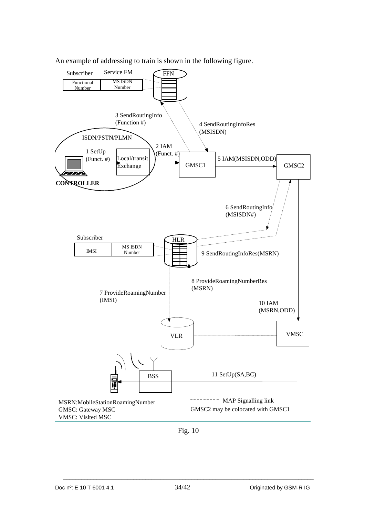

An example of addressing to train is shown in the following figure.

Fig. 10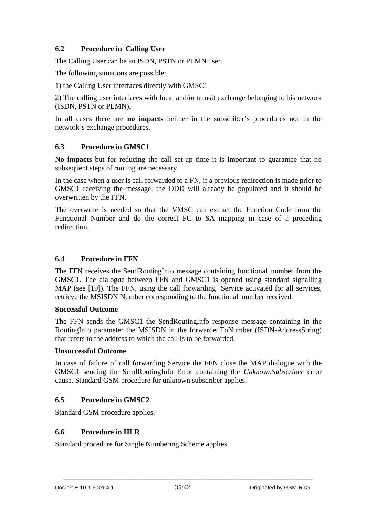## **6.2 Procedure in Calling User**

The Calling User can be an ISDN, PSTN or PLMN user.

The following situations are possible:

1) the Calling User interfaces directly with GMSC1

2) The calling user interfaces with local and/or transit exchange belonging to his network (ISDN, PSTN or PLMN).

In all cases there are **no impacts** neither in the subscriber's procedures nor in the network's exchange procedures.

## **6.3 Procedure in GMSC1**

**No impacts** but for reducing the call set-up time it is important to guarantee that no subsequent steps of routing are necessary.

In the case when a user is call forwarded to a FN, if a previous redirection is made prior to GMSC1 receiving the message, the ODD will already be populated and it should be overwritten by the FFN.

The overwrite is needed so that the VMSC can extract the Function Code from the Functional Number and do the correct FC to SA mapping in case of a preceding redirection.

#### **6.4 Procedure in FFN**

The FFN receives the SendRoutingInfo message containing functional\_number from the GMSC1. The dialogue between FFN and GMSC1 is opened using standard signalling MAP (see [19]). The FFN, using the call forwarding Service activated for all services, retrieve the MSISDN Number corresponding to the functional\_number received.

#### **Successful Outcome**

The FFN sends the GMSC1 the SendRoutingInfo response message containing in the RoutingInfo parameter the MSISDN in the forwardedToNumber (ISDN-AddressString) that refers to the address to which the call is to be forwarded.

## **Unsuccessful Outcome**

In case of failure of call forwarding Service the FFN close the MAP dialogue with the GMSC1 sending the SendRoutingInfo Error containing the *UnknownSubscriber* error cause. Standard GSM procedure for unknown subscriber applies.

## **6.5 Procedure in GMSC2**

Standard GSM procedure applies.

#### **6.6 Procedure in HLR**

Standard procedure for Single Numbering Scheme applies.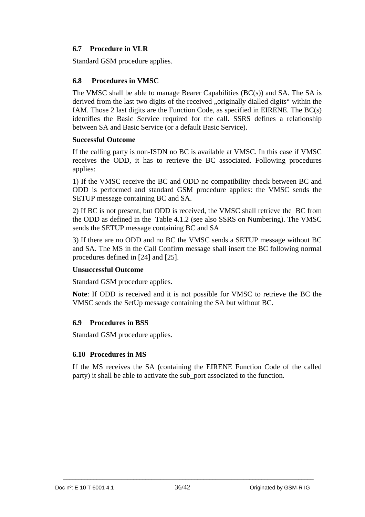## **6.7 Procedure in VLR**

Standard GSM procedure applies.

## **6.8 Procedures in VMSC**

The VMSC shall be able to manage Bearer Capabilities  $(BC(s))$  and SA. The SA is derived from the last two digits of the received "originally dialled digits" within the IAM. Those 2 last digits are the Function Code, as specified in EIRENE. The BC(s) identifies the Basic Service required for the call. SSRS defines a relationship between SA and Basic Service (or a default Basic Service).

#### **Successful Outcome**

If the calling party is non-ISDN no BC is available at VMSC. In this case if VMSC receives the ODD, it has to retrieve the BC associated. Following procedures applies:

1) If the VMSC receive the BC and ODD no compatibility check between BC and ODD is performed and standard GSM procedure applies: the VMSC sends the SETUP message containing BC and SA.

2) If BC is not present, but ODD is received, the VMSC shall retrieve the BC from the ODD as defined in the Table 4.1.2 (see also SSRS on Numbering). The VMSC sends the SETUP message containing BC and SA

3) If there are no ODD and no BC the VMSC sends a SETUP message without BC and SA. The MS in the Call Confirm message shall insert the BC following normal procedures defined in [24] and [25].

## **Unsuccessful Outcome**

Standard GSM procedure applies.

**Note**: If ODD is received and it is not possible for VMSC to retrieve the BC the VMSC sends the SetUp message containing the SA but without BC.

## **6.9 Procedures in BSS**

Standard GSM procedure applies.

## **6.10 Procedures in MS**

If the MS receives the SA (containing the EIRENE Function Code of the called party) it shall be able to activate the sub\_port associated to the function.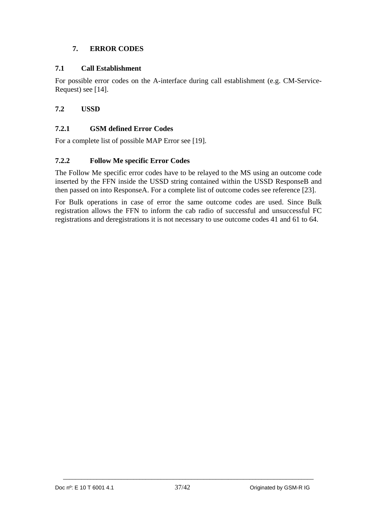## **7. ERROR CODES**

## **7.1 Call Establishment**

For possible error codes on the A-interface during call establishment (e.g. CM-Service-Request) see [14].

## **7.2 USSD**

## **7.2.1 GSM defined Error Codes**

For a complete list of possible MAP Error see [19].

## **7.2.2 Follow Me specific Error Codes**

The Follow Me specific error codes have to be relayed to the MS using an outcome code inserted by the FFN inside the USSD string contained within the USSD ResponseB and then passed on into ResponseA. For a complete list of outcome codes see reference [23].

For Bulk operations in case of error the same outcome codes are used. Since Bulk registration allows the FFN to inform the cab radio of successful and unsuccessful FC registrations and deregistrations it is not necessary to use outcome codes 41 and 61 to 64.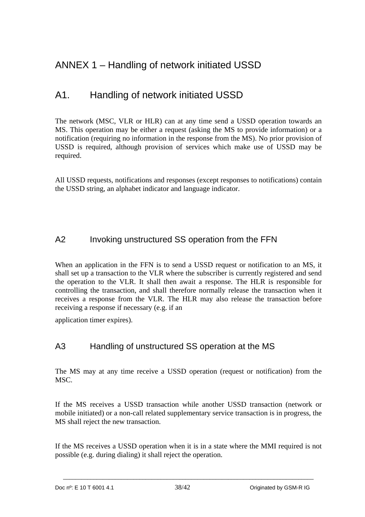# ANNEX 1 – Handling of network initiated USSD

# A1. Handling of network initiated USSD

The network (MSC, VLR or HLR) can at any time send a USSD operation towards an MS. This operation may be either a request (asking the MS to provide information) or a notification (requiring no information in the response from the MS). No prior provision of USSD is required, although provision of services which make use of USSD may be required.

All USSD requests, notifications and responses (except responses to notifications) contain the USSD string, an alphabet indicator and language indicator.

# A2 Invoking unstructured SS operation from the FFN

When an application in the FFN is to send a USSD request or notification to an MS, it shall set up a transaction to the VLR where the subscriber is currently registered and send the operation to the VLR. It shall then await a response. The HLR is responsible for controlling the transaction, and shall therefore normally release the transaction when it receives a response from the VLR. The HLR may also release the transaction before receiving a response if necessary (e.g. if an

application timer expires).

# A3 Handling of unstructured SS operation at the MS

The MS may at any time receive a USSD operation (request or notification) from the MSC.

If the MS receives a USSD transaction while another USSD transaction (network or mobile initiated) or a non-call related supplementary service transaction is in progress, the MS shall reject the new transaction.

If the MS receives a USSD operation when it is in a state where the MMI required is not possible (e.g. during dialing) it shall reject the operation.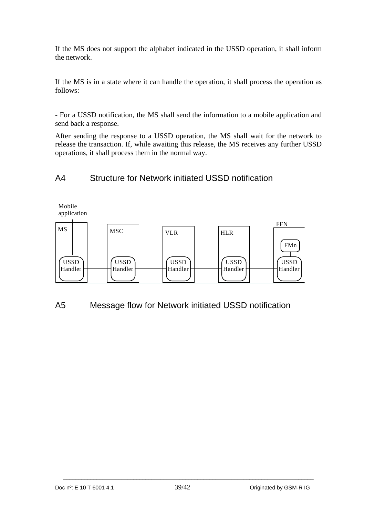If the MS does not support the alphabet indicated in the USSD operation, it shall inform the network.

If the MS is in a state where it can handle the operation, it shall process the operation as follows:

- For a USSD notification, the MS shall send the information to a mobile application and send back a response.

After sending the response to a USSD operation, the MS shall wait for the network to release the transaction. If, while awaiting this release, the MS receives any further USSD operations, it shall process them in the normal way.

# A4 Structure for Network initiated USSD notification



A5 Message flow for Network initiated USSD notification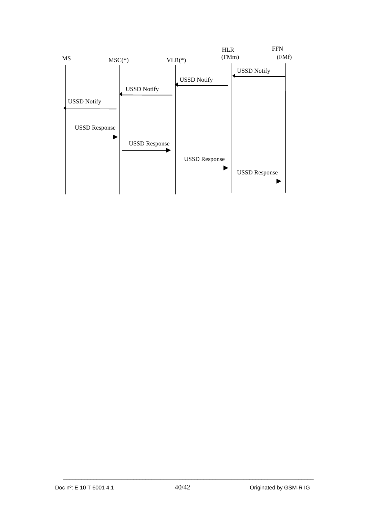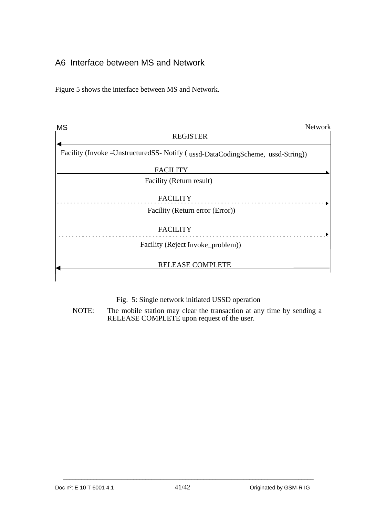# A6 Interface between MS and Network

Figure 5 shows the interface between MS and Network.

| <b>MS</b> | <b>Network</b>                                                                     |
|-----------|------------------------------------------------------------------------------------|
|           | <b>REGISTER</b>                                                                    |
|           | Facility (Invoke = Unstructured SS- Notify (ussd-Data Coding Scheme, ussd-String)) |
|           | <b>FACILITY</b>                                                                    |
|           | Facility (Return result)                                                           |
|           | <b>FACILITY</b>                                                                    |
|           | Facility (Return error (Error))                                                    |
|           | <b>FACILITY</b>                                                                    |
|           | Facility (Reject Invoke_problem))                                                  |
|           | <b>RELEASE COMPLETE</b>                                                            |

## Fig. 5: Single network initiated USSD operation

NOTE: The mobile station may clear the transaction at any time by sending a RELEASE COMPLETE upon request of the user.